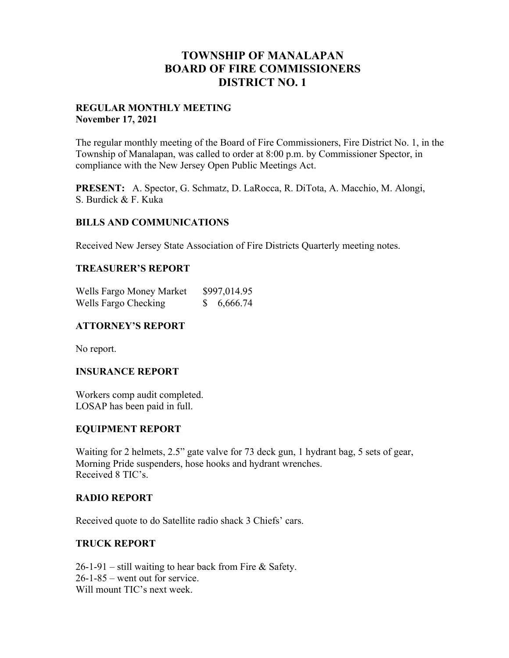# **TOWNSHIP OF MANALAPAN BOARD OF FIRE COMMISSIONERS DISTRICT NO. 1**

### **REGULAR MONTHLY MEETING November 17, 2021**

The regular monthly meeting of the Board of Fire Commissioners, Fire District No. 1, in the Township of Manalapan, was called to order at 8:00 p.m. by Commissioner Spector, in compliance with the New Jersey Open Public Meetings Act.

**PRESENT:** A. Spector, G. Schmatz, D. LaRocca, R. DiTota, A. Macchio, M. Alongi, S. Burdick & F. Kuka

### **BILLS AND COMMUNICATIONS**

Received New Jersey State Association of Fire Districts Quarterly meeting notes.

### **TREASURER'S REPORT**

| Wells Fargo Money Market | \$997,014.95 |
|--------------------------|--------------|
| Wells Fargo Checking     | 6,666.74     |

### **ATTORNEY'S REPORT**

No report.

#### **INSURANCE REPORT**

Workers comp audit completed. LOSAP has been paid in full.

### **EQUIPMENT REPORT**

Waiting for 2 helmets, 2.5" gate valve for 73 deck gun, 1 hydrant bag, 5 sets of gear, Morning Pride suspenders, hose hooks and hydrant wrenches. Received 8 TIC's.

#### **RADIO REPORT**

Received quote to do Satellite radio shack 3 Chiefs' cars.

## **TRUCK REPORT**

 $26-1-91$  – still waiting to hear back from Fire & Safety. 26-1-85 – went out for service. Will mount TIC's next week.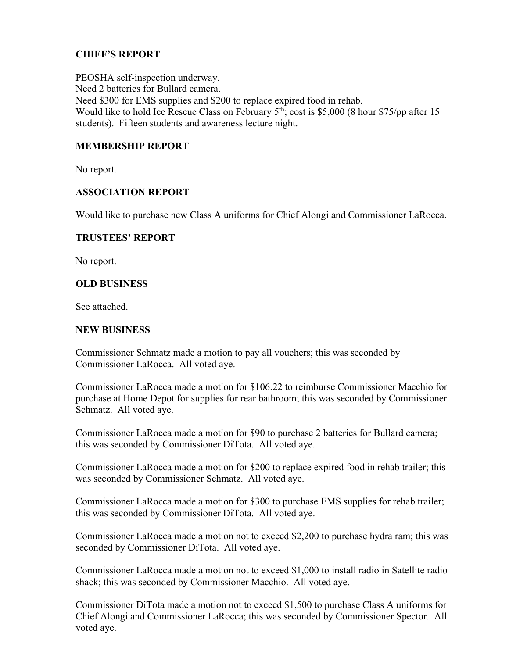# **CHIEF'S REPORT**

PEOSHA self-inspection underway. Need 2 batteries for Bullard camera. Need \$300 for EMS supplies and \$200 to replace expired food in rehab. Would like to hold Ice Rescue Class on February  $5<sup>th</sup>$ ; cost is \$5,000 (8 hour \$75/pp after 15 students). Fifteen students and awareness lecture night.

## **MEMBERSHIP REPORT**

No report.

## **ASSOCIATION REPORT**

Would like to purchase new Class A uniforms for Chief Alongi and Commissioner LaRocca.

### **TRUSTEES' REPORT**

No report.

### **OLD BUSINESS**

See attached.

### **NEW BUSINESS**

Commissioner Schmatz made a motion to pay all vouchers; this was seconded by Commissioner LaRocca. All voted aye.

Commissioner LaRocca made a motion for \$106.22 to reimburse Commissioner Macchio for purchase at Home Depot for supplies for rear bathroom; this was seconded by Commissioner Schmatz. All voted aye.

Commissioner LaRocca made a motion for \$90 to purchase 2 batteries for Bullard camera; this was seconded by Commissioner DiTota. All voted aye.

Commissioner LaRocca made a motion for \$200 to replace expired food in rehab trailer; this was seconded by Commissioner Schmatz. All voted aye.

Commissioner LaRocca made a motion for \$300 to purchase EMS supplies for rehab trailer; this was seconded by Commissioner DiTota. All voted aye.

Commissioner LaRocca made a motion not to exceed \$2,200 to purchase hydra ram; this was seconded by Commissioner DiTota. All voted aye.

Commissioner LaRocca made a motion not to exceed \$1,000 to install radio in Satellite radio shack; this was seconded by Commissioner Macchio. All voted aye.

Commissioner DiTota made a motion not to exceed \$1,500 to purchase Class A uniforms for Chief Alongi and Commissioner LaRocca; this was seconded by Commissioner Spector. All voted aye.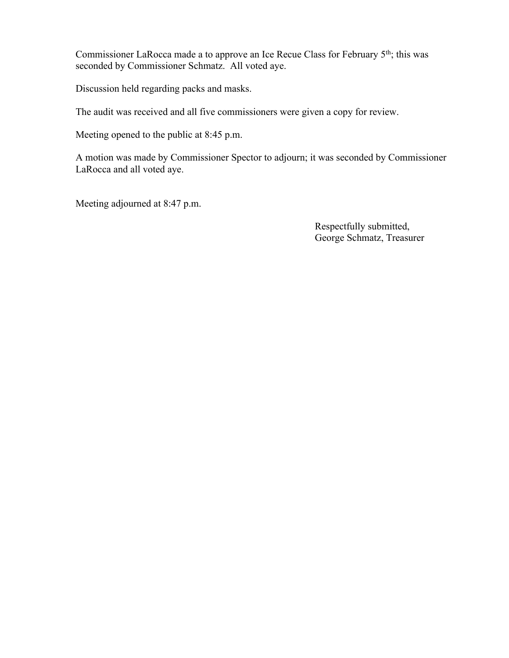Commissioner LaRocca made a to approve an Ice Recue Class for February 5<sup>th</sup>; this was seconded by Commissioner Schmatz. All voted aye.

Discussion held regarding packs and masks.

The audit was received and all five commissioners were given a copy for review.

Meeting opened to the public at 8:45 p.m.

A motion was made by Commissioner Spector to adjourn; it was seconded by Commissioner LaRocca and all voted aye.

Meeting adjourned at 8:47 p.m.

 Respectfully submitted, George Schmatz, Treasurer